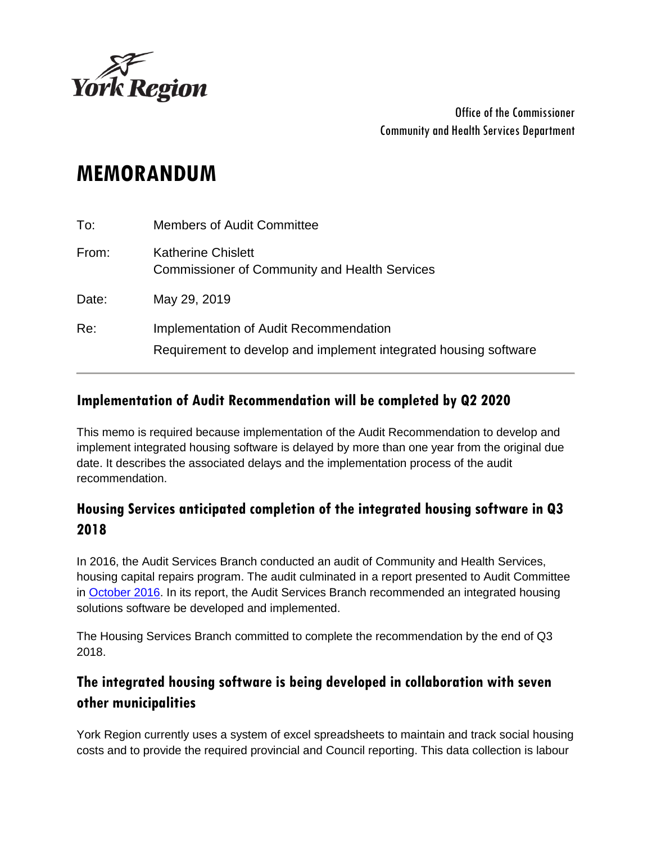

Office of the Commissioner Community and Health Services Department

# **MEMORANDUM**

| To:   | <b>Members of Audit Committee</b>                                                                          |
|-------|------------------------------------------------------------------------------------------------------------|
| From: | Katherine Chislett<br><b>Commissioner of Community and Health Services</b>                                 |
| Date: | May 29, 2019                                                                                               |
| Re:   | Implementation of Audit Recommendation<br>Requirement to develop and implement integrated housing software |

#### **Implementation of Audit Recommendation will be completed by Q2 2020**

This memo is required because implementation of the Audit Recommendation to develop and implement integrated housing software is delayed by more than one year from the original due date. It describes the associated delays and the implementation process of the audit recommendation.

### **Housing Services anticipated completion of the integrated housing software in Q3 2018**

In 2016, the Audit Services Branch conducted an audit of Community and Health Services, housing capital repairs program. The audit culminated in a report presented to Audit Committee in [October 2016.](https://www.york.ca/wps/wcm/connect/yorkpublic/f131895b-42fc-462f-a55c-26fb571ed962/oct+5+audit+ex.pdf?MOD=AJPERES) In its report, the Audit Services Branch recommended an integrated housing solutions software be developed and implemented.

The Housing Services Branch committed to complete the recommendation by the end of Q3 2018.

## **The integrated housing software is being developed in collaboration with seven other municipalities**

York Region currently uses a system of excel spreadsheets to maintain and track social housing costs and to provide the required provincial and Council reporting. This data collection is labour